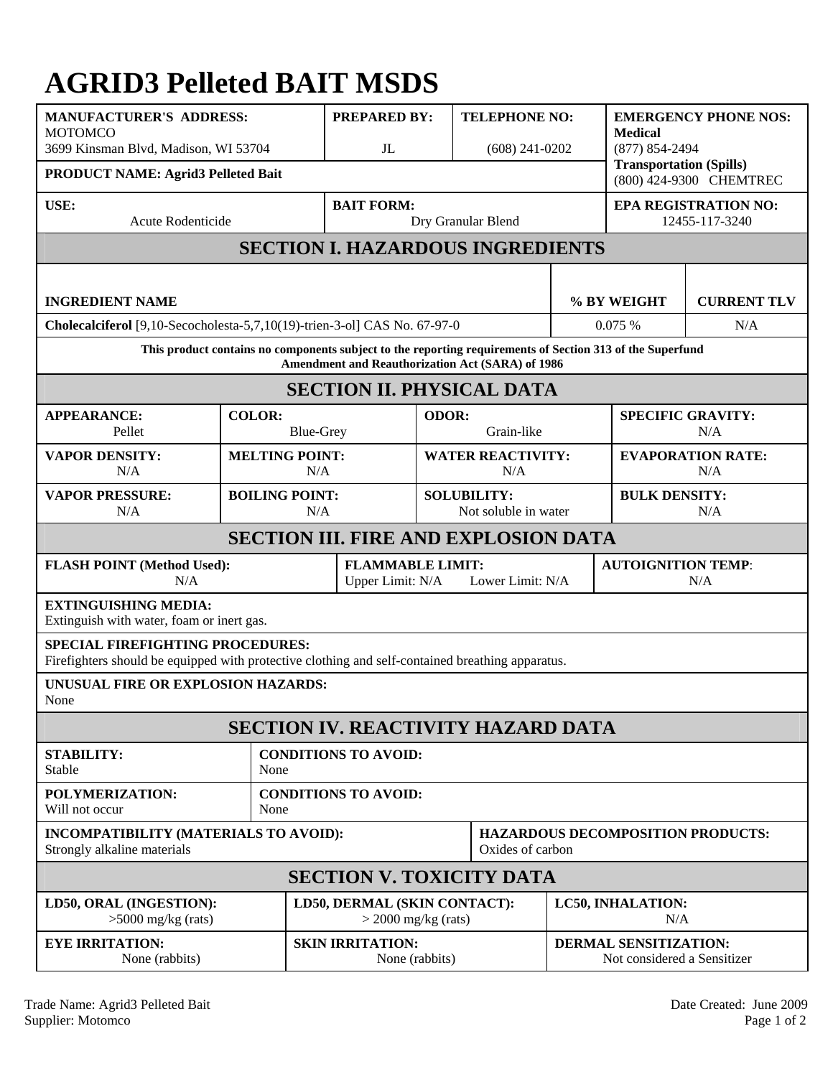## **AGRID3 Pelleted BAIT MSDS**

| <b>MANUFACTURER'S ADDRESS:</b><br><b>MOTOMCO</b><br>3699 Kinsman Blvd, Madison, WI 53704                                                                      |                   | $J_{\rm L}$                  | <b>PREPARED BY:</b><br><b>TELEPHONE NO:</b><br>$(608)$ 241-0202 |                                            |                                                           | <b>EMERGENCY PHONE NOS:</b><br><b>Medical</b><br>$(877) 854 - 2494$ |  |  |
|---------------------------------------------------------------------------------------------------------------------------------------------------------------|-------------------|------------------------------|-----------------------------------------------------------------|--------------------------------------------|-----------------------------------------------------------|---------------------------------------------------------------------|--|--|
| PRODUCT NAME: Agrid3 Pelleted Bait                                                                                                                            |                   |                              |                                                                 |                                            | <b>Transportation (Spills)</b><br>(800) 424-9300 CHEMTREC |                                                                     |  |  |
| USE:<br>Acute Rodenticide                                                                                                                                     | <b>BAIT FORM:</b> | Dry Granular Blend           |                                                                 |                                            | <b>EPA REGISTRATION NO:</b><br>12455-117-3240             |                                                                     |  |  |
| <b>SECTION I. HAZARDOUS INGREDIENTS</b>                                                                                                                       |                   |                              |                                                                 |                                            |                                                           |                                                                     |  |  |
| <b>INGREDIENT NAME</b>                                                                                                                                        |                   |                              |                                                                 | % BY WEIGHT                                |                                                           | <b>CURRENT TLV</b>                                                  |  |  |
| Cholecalciferol [9,10-Secocholesta-5,7,10(19)-trien-3-ol] CAS No. 67-97-0                                                                                     |                   |                              |                                                                 |                                            | 0.075%                                                    | N/A                                                                 |  |  |
| This product contains no components subject to the reporting requirements of Section 313 of the Superfund<br>Amendment and Reauthorization Act (SARA) of 1986 |                   |                              |                                                                 |                                            |                                                           |                                                                     |  |  |
| <b>SECTION II. PHYSICAL DATA</b>                                                                                                                              |                   |                              |                                                                 |                                            |                                                           |                                                                     |  |  |
| <b>APPEARANCE:</b><br>Pellet                                                                                                                                  | <b>COLOR:</b>     | <b>Blue-Grey</b>             |                                                                 | ODOR:<br>Grain-like                        |                                                           | <b>SPECIFIC GRAVITY:</b><br>N/A                                     |  |  |
| <b>VAPOR DENSITY:</b><br>N/A                                                                                                                                  |                   | <b>MELTING POINT:</b><br>N/A |                                                                 | <b>WATER REACTIVITY:</b><br>N/A            |                                                           | <b>EVAPORATION RATE:</b><br>N/A                                     |  |  |
| <b>VAPOR PRESSURE:</b><br>N/A                                                                                                                                 |                   | <b>BOILING POINT:</b><br>N/A |                                                                 | <b>SOLUBILITY:</b><br>Not soluble in water |                                                           | <b>BULK DENSITY:</b><br>N/A                                         |  |  |
| <b>SECTION III. FIRE AND EXPLOSION DATA</b>                                                                                                                   |                   |                              |                                                                 |                                            |                                                           |                                                                     |  |  |
| <b>FLASH POINT (Method Used):</b><br>N/A                                                                                                                      |                   |                              | <b>FLAMMABLE LIMIT:</b><br>Upper Limit: N/A<br>Lower Limit: N/A |                                            |                                                           | <b>AUTOIGNITION TEMP:</b><br>N/A                                    |  |  |
| <b>EXTINGUISHING MEDIA:</b><br>Extinguish with water, foam or inert gas.                                                                                      |                   |                              |                                                                 |                                            |                                                           |                                                                     |  |  |
| <b>SPECIAL FIREFIGHTING PROCEDURES:</b><br>Firefighters should be equipped with protective clothing and self-contained breathing apparatus.                   |                   |                              |                                                                 |                                            |                                                           |                                                                     |  |  |
| UNUSUAL FIRE OR EXPLOSION HAZARDS:<br>None                                                                                                                    |                   |                              |                                                                 |                                            |                                                           |                                                                     |  |  |
| <b>SECTION IV. REACTIVITY HAZARD DATA</b>                                                                                                                     |                   |                              |                                                                 |                                            |                                                           |                                                                     |  |  |
| <b>STABILITY:</b><br>Stable                                                                                                                                   | None              | <b>CONDITIONS TO AVOID:</b>  |                                                                 |                                            |                                                           |                                                                     |  |  |
| POLYMERIZATION:<br>Will not occur                                                                                                                             | None              | <b>CONDITIONS TO AVOID:</b>  |                                                                 |                                            |                                                           |                                                                     |  |  |
| INCOMPATIBILITY (MATERIALS TO AVOID):<br>Strongly alkaline materials                                                                                          |                   |                              | Oxides of carbon                                                |                                            |                                                           | <b>HAZARDOUS DECOMPOSITION PRODUCTS:</b>                            |  |  |
| <b>SECTION V. TOXICITY DATA</b>                                                                                                                               |                   |                              |                                                                 |                                            |                                                           |                                                                     |  |  |
| LD50, ORAL (INGESTION):<br>$>5000$ mg/kg (rats)                                                                                                               |                   |                              | LD50, DERMAL (SKIN CONTACT):<br>$>$ 2000 mg/kg (rats)           |                                            |                                                           | LC50, INHALATION:<br>N/A                                            |  |  |
| <b>EYE IRRITATION:</b><br>None (rabbits)                                                                                                                      |                   | <b>SKIN IRRITATION:</b>      | None (rabbits)                                                  |                                            |                                                           | DERMAL SENSITIZATION:<br>Not considered a Sensitizer                |  |  |